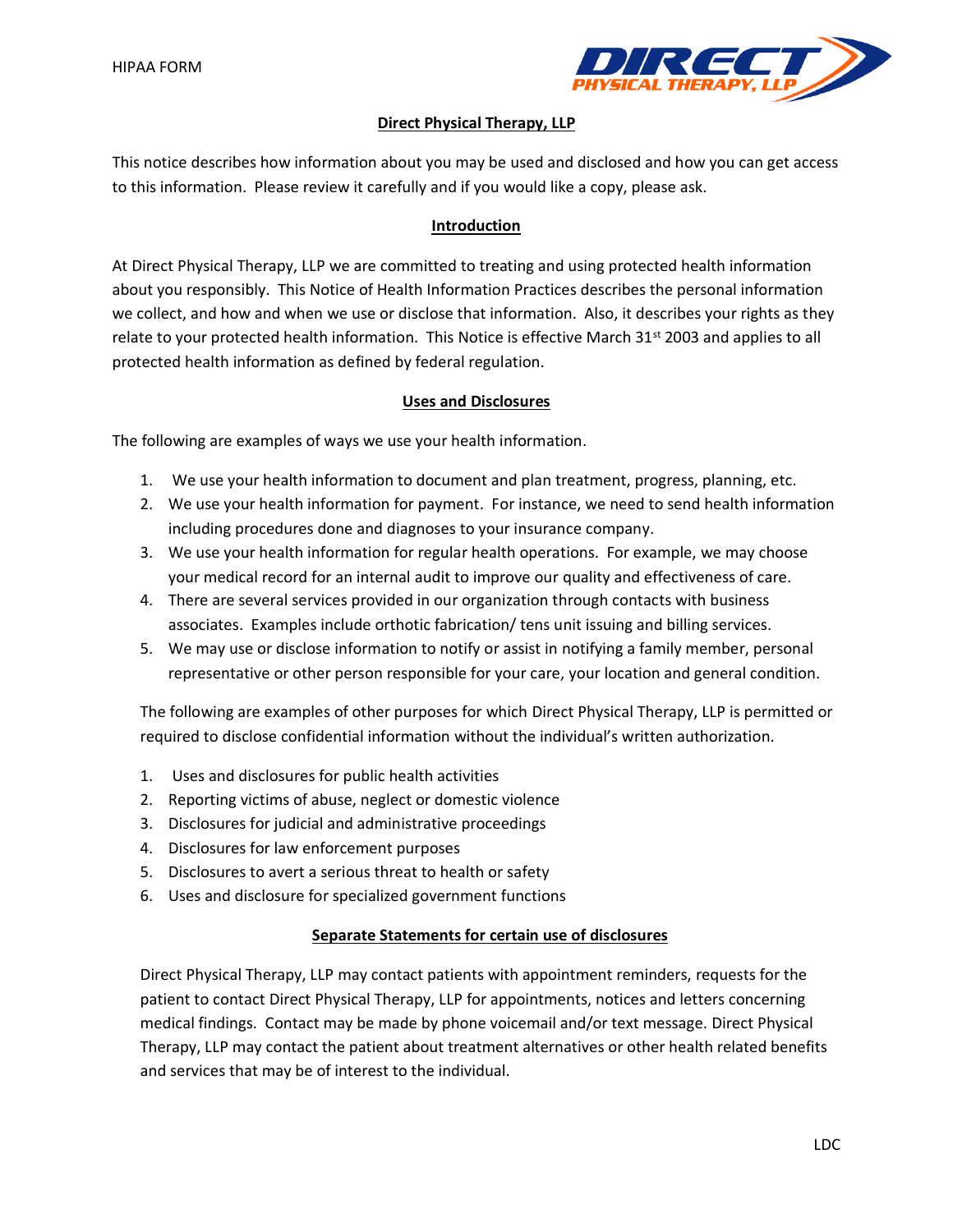

## **Direct Physical Therapy, LLP**

This notice describes how information about you may be used and disclosed and how you can get access to this information. Please review it carefully and if you would like a copy, please ask.

## **Introduction**

At Direct Physical Therapy, LLP we are committed to treating and using protected health information about you responsibly. This Notice of Health Information Practices describes the personal information we collect, and how and when we use or disclose that information. Also, it describes your rights as they relate to your protected health information. This Notice is effective March 31<sup>st</sup> 2003 and applies to all protected health information as defined by federal regulation.

## **Uses and Disclosures**

The following are examples of ways we use your health information.

- 1. We use your health information to document and plan treatment, progress, planning, etc.
- 2. We use your health information for payment. For instance, we need to send health information including procedures done and diagnoses to your insurance company.
- 3. We use your health information for regular health operations. For example, we may choose your medical record for an internal audit to improve our quality and effectiveness of care.
- 4. There are several services provided in our organization through contacts with business associates. Examples include orthotic fabrication/ tens unit issuing and billing services.
- 5. We may use or disclose information to notify or assist in notifying a family member, personal representative or other person responsible for your care, your location and general condition.

The following are examples of other purposes for which Direct Physical Therapy, LLP is permitted or required to disclose confidential information without the individual's written authorization.

- 1. Uses and disclosures for public health activities
- 2. Reporting victims of abuse, neglect or domestic violence
- 3. Disclosures for judicial and administrative proceedings
- 4. Disclosures for law enforcement purposes
- 5. Disclosures to avert a serious threat to health or safety
- 6. Uses and disclosure for specialized government functions

## **Separate Statements for certain use of disclosures**

Direct Physical Therapy, LLP may contact patients with appointment reminders, requests for the patient to contact Direct Physical Therapy, LLP for appointments, notices and letters concerning medical findings. Contact may be made by phone voicemail and/or text message. Direct Physical Therapy, LLP may contact the patient about treatment alternatives or other health related benefits and services that may be of interest to the individual.